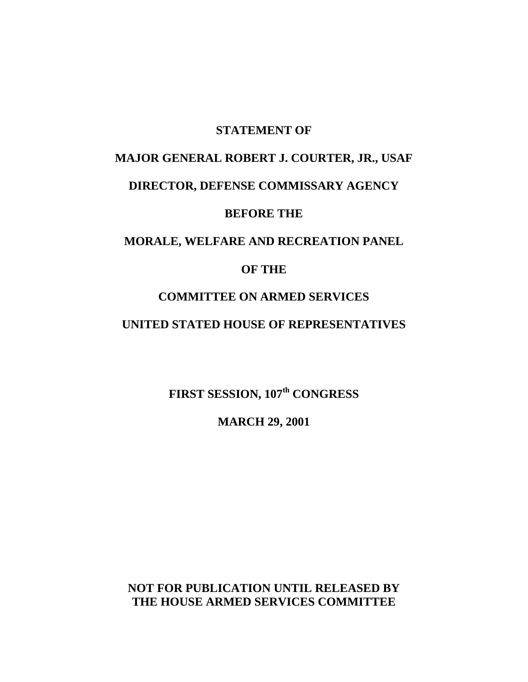#### **STATEMENT OF**

# **MAJOR GENERAL ROBERT J. COURTER, JR., USAF DIRECTOR, DEFENSE COMMISSARY AGENCY BEFORE THE**

## **MORALE, WELFARE AND RECREATION PANEL**

#### **OF THE**

### **COMMITTEE ON ARMED SERVICES**

## **UNITED STATED HOUSE OF REPRESENTATIVES**

**FIRST SESSION, 107th CONGRESS**

**MARCH 29, 2001**

**NOT FOR PUBLICATION UNTIL RELEASED BY THE HOUSE ARMED SERVICES COMMITTEE**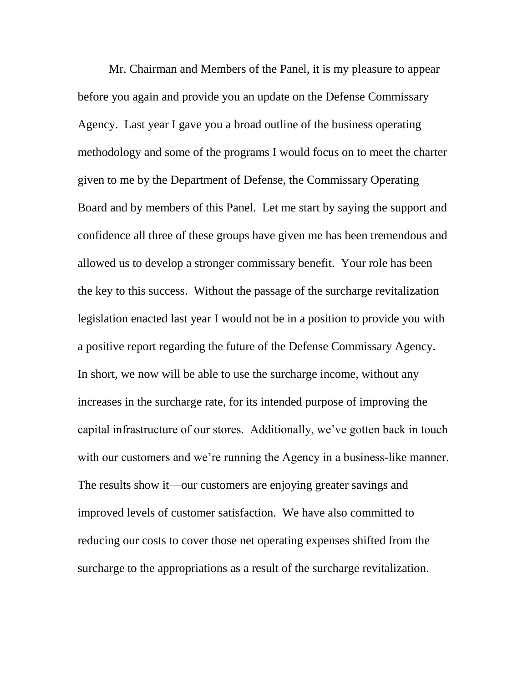Mr. Chairman and Members of the Panel, it is my pleasure to appear before you again and provide you an update on the Defense Commissary Agency. Last year I gave you a broad outline of the business operating methodology and some of the programs I would focus on to meet the charter given to me by the Department of Defense, the Commissary Operating Board and by members of this Panel. Let me start by saying the support and confidence all three of these groups have given me has been tremendous and allowed us to develop a stronger commissary benefit. Your role has been the key to this success. Without the passage of the surcharge revitalization legislation enacted last year I would not be in a position to provide you with a positive report regarding the future of the Defense Commissary Agency. In short, we now will be able to use the surcharge income, without any increases in the surcharge rate, for its intended purpose of improving the capital infrastructure of our stores. Additionally, we've gotten back in touch with our customers and we're running the Agency in a business-like manner. The results show it—our customers are enjoying greater savings and improved levels of customer satisfaction. We have also committed to reducing our costs to cover those net operating expenses shifted from the surcharge to the appropriations as a result of the surcharge revitalization.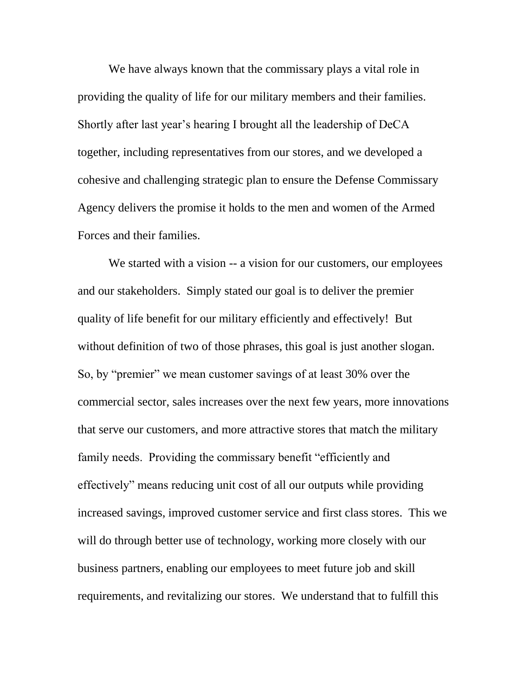We have always known that the commissary plays a vital role in providing the quality of life for our military members and their families. Shortly after last year's hearing I brought all the leadership of DeCA together, including representatives from our stores, and we developed a cohesive and challenging strategic plan to ensure the Defense Commissary Agency delivers the promise it holds to the men and women of the Armed Forces and their families.

We started with a vision -- a vision for our customers, our employees and our stakeholders. Simply stated our goal is to deliver the premier quality of life benefit for our military efficiently and effectively! But without definition of two of those phrases, this goal is just another slogan. So, by "premier" we mean customer savings of at least 30% over the commercial sector, sales increases over the next few years, more innovations that serve our customers, and more attractive stores that match the military family needs. Providing the commissary benefit "efficiently and effectively" means reducing unit cost of all our outputs while providing increased savings, improved customer service and first class stores. This we will do through better use of technology, working more closely with our business partners, enabling our employees to meet future job and skill requirements, and revitalizing our stores. We understand that to fulfill this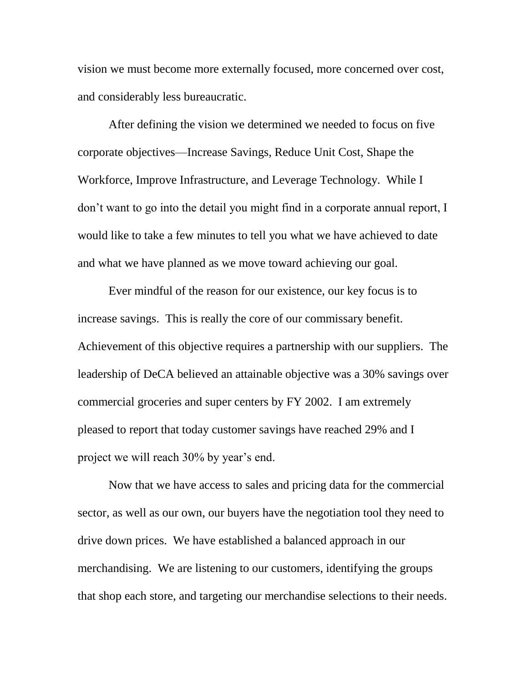vision we must become more externally focused, more concerned over cost, and considerably less bureaucratic.

After defining the vision we determined we needed to focus on five corporate objectives—Increase Savings, Reduce Unit Cost, Shape the Workforce, Improve Infrastructure, and Leverage Technology. While I don't want to go into the detail you might find in a corporate annual report, I would like to take a few minutes to tell you what we have achieved to date and what we have planned as we move toward achieving our goal.

Ever mindful of the reason for our existence, our key focus is to increase savings. This is really the core of our commissary benefit. Achievement of this objective requires a partnership with our suppliers. The leadership of DeCA believed an attainable objective was a 30% savings over commercial groceries and super centers by FY 2002. I am extremely pleased to report that today customer savings have reached 29% and I project we will reach 30% by year's end.

Now that we have access to sales and pricing data for the commercial sector, as well as our own, our buyers have the negotiation tool they need to drive down prices. We have established a balanced approach in our merchandising. We are listening to our customers, identifying the groups that shop each store, and targeting our merchandise selections to their needs.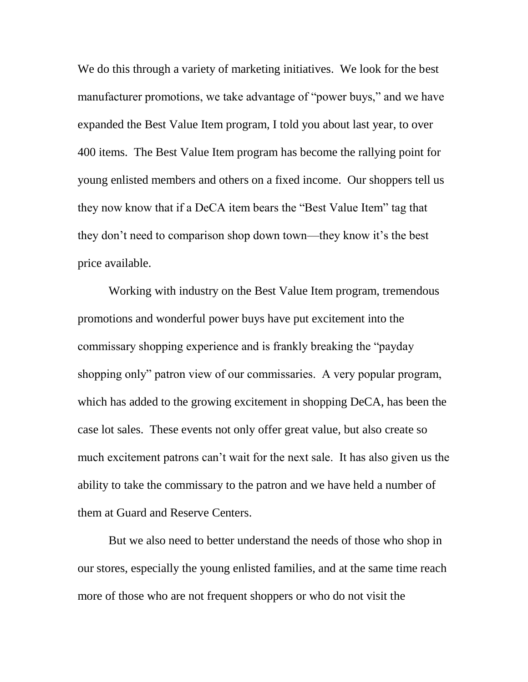We do this through a variety of marketing initiatives. We look for the best manufacturer promotions, we take advantage of "power buys," and we have expanded the Best Value Item program, I told you about last year, to over 400 items. The Best Value Item program has become the rallying point for young enlisted members and others on a fixed income. Our shoppers tell us they now know that if a DeCA item bears the "Best Value Item" tag that they don't need to comparison shop down town—they know it's the best price available.

Working with industry on the Best Value Item program, tremendous promotions and wonderful power buys have put excitement into the commissary shopping experience and is frankly breaking the "payday shopping only" patron view of our commissaries. A very popular program, which has added to the growing excitement in shopping DeCA, has been the case lot sales. These events not only offer great value, but also create so much excitement patrons can't wait for the next sale. It has also given us the ability to take the commissary to the patron and we have held a number of them at Guard and Reserve Centers.

But we also need to better understand the needs of those who shop in our stores, especially the young enlisted families, and at the same time reach more of those who are not frequent shoppers or who do not visit the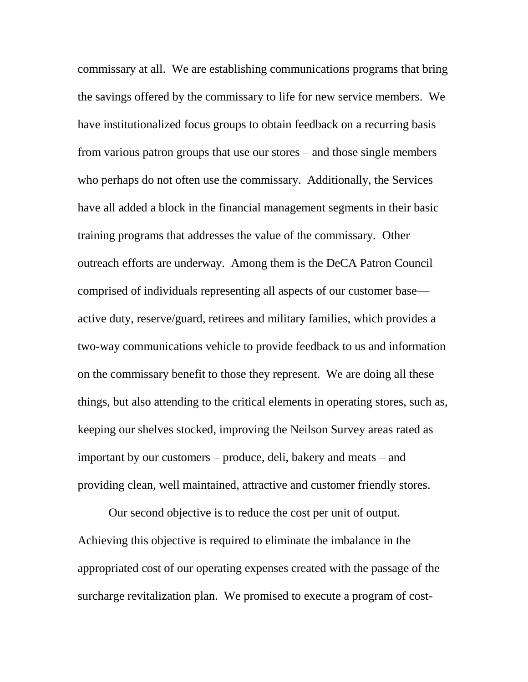commissary at all. We are establishing communications programs that bring the savings offered by the commissary to life for new service members. We have institutionalized focus groups to obtain feedback on a recurring basis from various patron groups that use our stores – and those single members who perhaps do not often use the commissary. Additionally, the Services have all added a block in the financial management segments in their basic training programs that addresses the value of the commissary. Other outreach efforts are underway. Among them is the DeCA Patron Council comprised of individuals representing all aspects of our customer base active duty, reserve/guard, retirees and military families, which provides a two-way communications vehicle to provide feedback to us and information on the commissary benefit to those they represent. We are doing all these things, but also attending to the critical elements in operating stores, such as, keeping our shelves stocked, improving the Neilson Survey areas rated as important by our customers – produce, deli, bakery and meats – and providing clean, well maintained, attractive and customer friendly stores.

Our second objective is to reduce the cost per unit of output. Achieving this objective is required to eliminate the imbalance in the appropriated cost of our operating expenses created with the passage of the surcharge revitalization plan. We promised to execute a program of cost-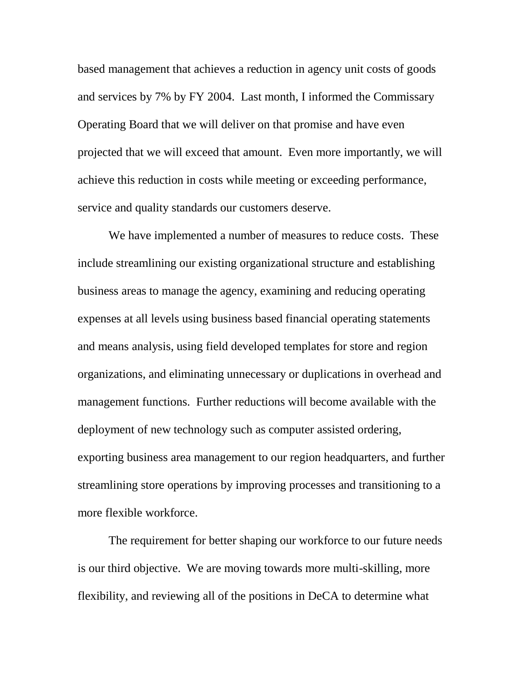based management that achieves a reduction in agency unit costs of goods and services by 7% by FY 2004. Last month, I informed the Commissary Operating Board that we will deliver on that promise and have even projected that we will exceed that amount. Even more importantly, we will achieve this reduction in costs while meeting or exceeding performance, service and quality standards our customers deserve.

We have implemented a number of measures to reduce costs. These include streamlining our existing organizational structure and establishing business areas to manage the agency, examining and reducing operating expenses at all levels using business based financial operating statements and means analysis, using field developed templates for store and region organizations, and eliminating unnecessary or duplications in overhead and management functions. Further reductions will become available with the deployment of new technology such as computer assisted ordering, exporting business area management to our region headquarters, and further streamlining store operations by improving processes and transitioning to a more flexible workforce.

The requirement for better shaping our workforce to our future needs is our third objective. We are moving towards more multi-skilling, more flexibility, and reviewing all of the positions in DeCA to determine what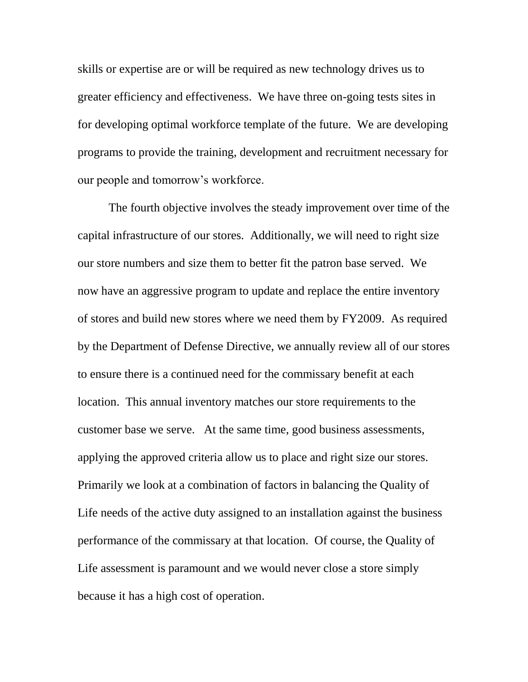skills or expertise are or will be required as new technology drives us to greater efficiency and effectiveness. We have three on-going tests sites in for developing optimal workforce template of the future. We are developing programs to provide the training, development and recruitment necessary for our people and tomorrow's workforce.

The fourth objective involves the steady improvement over time of the capital infrastructure of our stores. Additionally, we will need to right size our store numbers and size them to better fit the patron base served. We now have an aggressive program to update and replace the entire inventory of stores and build new stores where we need them by FY2009. As required by the Department of Defense Directive, we annually review all of our stores to ensure there is a continued need for the commissary benefit at each location. This annual inventory matches our store requirements to the customer base we serve. At the same time, good business assessments, applying the approved criteria allow us to place and right size our stores. Primarily we look at a combination of factors in balancing the Quality of Life needs of the active duty assigned to an installation against the business performance of the commissary at that location. Of course, the Quality of Life assessment is paramount and we would never close a store simply because it has a high cost of operation.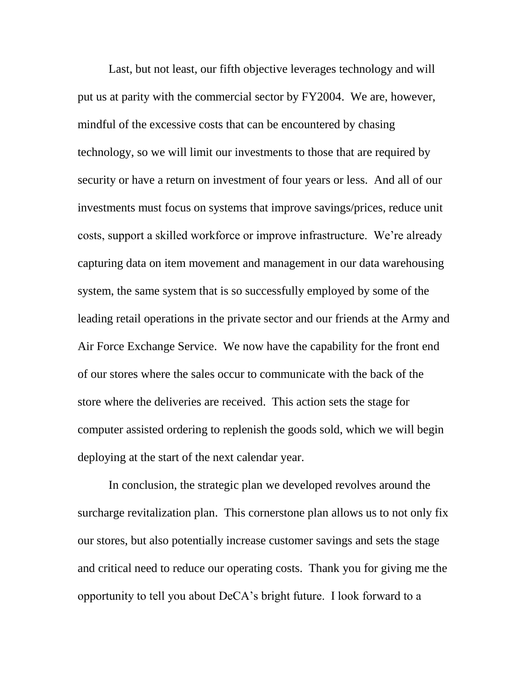Last, but not least, our fifth objective leverages technology and will put us at parity with the commercial sector by FY2004. We are, however, mindful of the excessive costs that can be encountered by chasing technology, so we will limit our investments to those that are required by security or have a return on investment of four years or less. And all of our investments must focus on systems that improve savings/prices, reduce unit costs, support a skilled workforce or improve infrastructure. We're already capturing data on item movement and management in our data warehousing system, the same system that is so successfully employed by some of the leading retail operations in the private sector and our friends at the Army and Air Force Exchange Service. We now have the capability for the front end of our stores where the sales occur to communicate with the back of the store where the deliveries are received. This action sets the stage for computer assisted ordering to replenish the goods sold, which we will begin deploying at the start of the next calendar year.

In conclusion, the strategic plan we developed revolves around the surcharge revitalization plan. This cornerstone plan allows us to not only fix our stores, but also potentially increase customer savings and sets the stage and critical need to reduce our operating costs. Thank you for giving me the opportunity to tell you about DeCA's bright future. I look forward to a